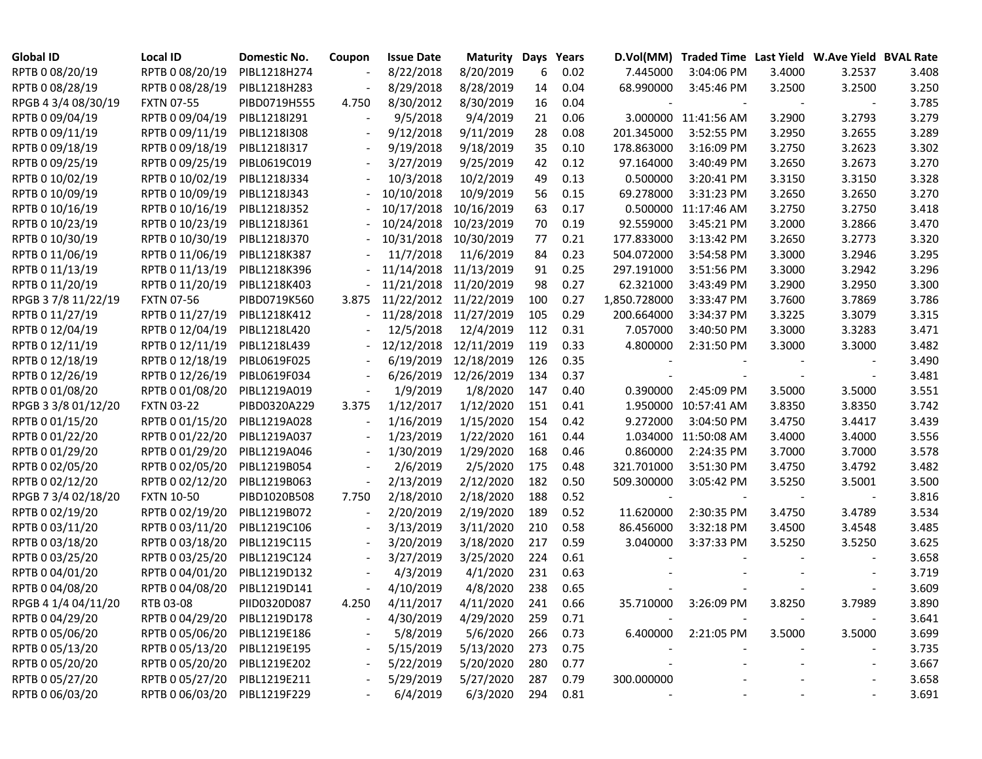| <b>Global ID</b>    | <b>Local ID</b>   | Domestic No. | Coupon | <b>Issue Date</b>     | <b>Maturity Days</b> |     | Years    |              | D.Vol(MM) Traded Time Last Yield W.Ave Yield BVAL Rate |        |        |       |
|---------------------|-------------------|--------------|--------|-----------------------|----------------------|-----|----------|--------------|--------------------------------------------------------|--------|--------|-------|
| RPTB 0 08/20/19     | RPTB 0 08/20/19   | PIBL1218H274 |        | 8/22/2018             | 8/20/2019            | 6   | 0.02     | 7.445000     | 3:04:06 PM                                             | 3.4000 | 3.2537 | 3.408 |
| RPTB 0 08/28/19     | RPTB 0 08/28/19   | PIBL1218H283 |        | 8/29/2018             | 8/28/2019            | 14  | 0.04     | 68.990000    | 3:45:46 PM                                             | 3.2500 | 3.2500 | 3.250 |
| RPGB 4 3/4 08/30/19 | <b>FXTN 07-55</b> | PIBD0719H555 | 4.750  | 8/30/2012             | 8/30/2019            | 16  | 0.04     |              |                                                        |        |        | 3.785 |
| RPTB 0 09/04/19     | RPTB 0 09/04/19   | PIBL1218I291 |        | 9/5/2018              | 9/4/2019             | 21  | 0.06     |              | 3.000000 11:41:56 AM                                   | 3.2900 | 3.2793 | 3.279 |
| RPTB 0 09/11/19     | RPTB 0 09/11/19   | PIBL1218I308 |        | 9/12/2018             | 9/11/2019            | 28  | 0.08     | 201.345000   | 3:52:55 PM                                             | 3.2950 | 3.2655 | 3.289 |
| RPTB 0 09/18/19     | RPTB 0 09/18/19   | PIBL1218I317 |        | 9/19/2018             | 9/18/2019            | 35  | 0.10     | 178.863000   | 3:16:09 PM                                             | 3.2750 | 3.2623 | 3.302 |
| RPTB 0 09/25/19     | RPTB 0 09/25/19   | PIBL0619C019 |        | 3/27/2019             | 9/25/2019            | 42  | 0.12     | 97.164000    | 3:40:49 PM                                             | 3.2650 | 3.2673 | 3.270 |
| RPTB 0 10/02/19     | RPTB 0 10/02/19   | PIBL1218J334 |        | 10/3/2018             | 10/2/2019            | 49  | 0.13     | 0.500000     | 3:20:41 PM                                             | 3.3150 | 3.3150 | 3.328 |
| RPTB 0 10/09/19     | RPTB 0 10/09/19   | PIBL1218J343 |        | 10/10/2018            | 10/9/2019            | 56  | 0.15     | 69.278000    | 3:31:23 PM                                             | 3.2650 | 3.2650 | 3.270 |
| RPTB 0 10/16/19     | RPTB 0 10/16/19   | PIBL1218J352 |        | 10/17/2018            | 10/16/2019           | 63  | 0.17     |              | 0.500000 11:17:46 AM                                   | 3.2750 | 3.2750 | 3.418 |
| RPTB 0 10/23/19     | RPTB 0 10/23/19   | PIBL1218J361 |        | 10/24/2018            | 10/23/2019           | 70  | 0.19     | 92.559000    | 3:45:21 PM                                             | 3.2000 | 3.2866 | 3.470 |
| RPTB 0 10/30/19     | RPTB 0 10/30/19   | PIBL1218J370 |        | 10/31/2018            | 10/30/2019           | 77  | 0.21     | 177.833000   | 3:13:42 PM                                             | 3.2650 | 3.2773 | 3.320 |
| RPTB 0 11/06/19     | RPTB 0 11/06/19   | PIBL1218K387 |        | 11/7/2018             | 11/6/2019            | 84  | 0.23     | 504.072000   | 3:54:58 PM                                             | 3.3000 | 3.2946 | 3.295 |
| RPTB 0 11/13/19     | RPTB 0 11/13/19   | PIBL1218K396 |        | 11/14/2018 11/13/2019 |                      | 91  | 0.25     | 297.191000   | 3:51:56 PM                                             | 3.3000 | 3.2942 | 3.296 |
| RPTB 0 11/20/19     | RPTB 0 11/20/19   | PIBL1218K403 |        | 11/21/2018 11/20/2019 |                      | 98  | 0.27     | 62.321000    | 3:43:49 PM                                             | 3.2900 | 3.2950 | 3.300 |
| RPGB 3 7/8 11/22/19 | <b>FXTN 07-56</b> | PIBD0719K560 | 3.875  | 11/22/2012 11/22/2019 |                      | 100 | 0.27     | 1,850.728000 | 3:33:47 PM                                             | 3.7600 | 3.7869 | 3.786 |
| RPTB 0 11/27/19     | RPTB 0 11/27/19   | PIBL1218K412 |        | 11/28/2018            | 11/27/2019           | 105 | 0.29     | 200.664000   | 3:34:37 PM                                             | 3.3225 | 3.3079 | 3.315 |
| RPTB 0 12/04/19     | RPTB 0 12/04/19   | PIBL1218L420 |        | 12/5/2018             | 12/4/2019            | 112 | 0.31     | 7.057000     | 3:40:50 PM                                             | 3.3000 | 3.3283 | 3.471 |
| RPTB 0 12/11/19     | RPTB 0 12/11/19   | PIBL1218L439 |        | 12/12/2018            | 12/11/2019           | 119 | 0.33     | 4.800000     | 2:31:50 PM                                             | 3.3000 | 3.3000 | 3.482 |
| RPTB 0 12/18/19     | RPTB 0 12/18/19   | PIBL0619F025 |        | 6/19/2019             | 12/18/2019           | 126 | 0.35     |              |                                                        |        |        | 3.490 |
| RPTB 0 12/26/19     | RPTB 0 12/26/19   | PIBL0619F034 |        | 6/26/2019             | 12/26/2019           | 134 | 0.37     |              |                                                        |        |        | 3.481 |
| RPTB 0 01/08/20     | RPTB 0 01/08/20   | PIBL1219A019 |        | 1/9/2019              | 1/8/2020             | 147 | 0.40     | 0.390000     | 2:45:09 PM                                             | 3.5000 | 3.5000 | 3.551 |
| RPGB 3 3/8 01/12/20 | <b>FXTN 03-22</b> | PIBD0320A229 | 3.375  | 1/12/2017             | 1/12/2020            | 151 | 0.41     |              | 1.950000 10:57:41 AM                                   | 3.8350 | 3.8350 | 3.742 |
| RPTB 0 01/15/20     | RPTB 0 01/15/20   | PIBL1219A028 |        | 1/16/2019             | 1/15/2020            | 154 | 0.42     | 9.272000     | 3:04:50 PM                                             | 3.4750 | 3.4417 | 3.439 |
| RPTB 0 01/22/20     | RPTB 0 01/22/20   | PIBL1219A037 |        | 1/23/2019             | 1/22/2020            | 161 | 0.44     |              | 1.034000 11:50:08 AM                                   | 3.4000 | 3.4000 | 3.556 |
| RPTB 0 01/29/20     | RPTB 0 01/29/20   | PIBL1219A046 |        | 1/30/2019             | 1/29/2020            | 168 | 0.46     | 0.860000     | 2:24:35 PM                                             | 3.7000 | 3.7000 | 3.578 |
| RPTB 0 02/05/20     | RPTB 0 02/05/20   | PIBL1219B054 |        | 2/6/2019              | 2/5/2020             | 175 | 0.48     | 321.701000   | 3:51:30 PM                                             | 3.4750 | 3.4792 | 3.482 |
| RPTB 0 02/12/20     | RPTB 0 02/12/20   | PIBL1219B063 |        | 2/13/2019             | 2/12/2020            | 182 | 0.50     | 509.300000   | 3:05:42 PM                                             | 3.5250 | 3.5001 | 3.500 |
| RPGB 7 3/4 02/18/20 | <b>FXTN 10-50</b> | PIBD1020B508 | 7.750  | 2/18/2010             | 2/18/2020            | 188 | 0.52     |              |                                                        |        |        | 3.816 |
| RPTB 0 02/19/20     | RPTB 0 02/19/20   | PIBL1219B072 |        | 2/20/2019             | 2/19/2020            | 189 | 0.52     | 11.620000    | 2:30:35 PM                                             | 3.4750 | 3.4789 | 3.534 |
| RPTB 0 03/11/20     | RPTB 0 03/11/20   | PIBL1219C106 |        | 3/13/2019             | 3/11/2020            | 210 | 0.58     | 86.456000    | 3:32:18 PM                                             | 3.4500 | 3.4548 | 3.485 |
| RPTB 0 03/18/20     | RPTB 0 03/18/20   | PIBL1219C115 |        | 3/20/2019             | 3/18/2020            | 217 | 0.59     | 3.040000     | 3:37:33 PM                                             | 3.5250 | 3.5250 | 3.625 |
| RPTB 0 03/25/20     | RPTB 0 03/25/20   | PIBL1219C124 |        | 3/27/2019             | 3/25/2020            | 224 | 0.61     |              |                                                        |        |        | 3.658 |
| RPTB 0 04/01/20     | RPTB 0 04/01/20   | PIBL1219D132 |        | 4/3/2019              | 4/1/2020             | 231 | 0.63     |              |                                                        |        |        | 3.719 |
| RPTB 0 04/08/20     | RPTB 0 04/08/20   | PIBL1219D141 |        | 4/10/2019             | 4/8/2020             | 238 | 0.65     |              |                                                        |        |        | 3.609 |
| RPGB 4 1/4 04/11/20 | RTB 03-08         | PIID0320D087 | 4.250  | 4/11/2017             | 4/11/2020            | 241 | 0.66     | 35.710000    | 3:26:09 PM                                             | 3.8250 | 3.7989 | 3.890 |
| RPTB 0 04/29/20     | RPTB 0 04/29/20   | PIBL1219D178 |        | 4/30/2019             | 4/29/2020            | 259 | 0.71     |              |                                                        |        |        | 3.641 |
| RPTB 0 05/06/20     | RPTB 0 05/06/20   | PIBL1219E186 |        | 5/8/2019              | 5/6/2020             | 266 | 0.73     |              | 6.400000 2:21:05 PM                                    | 3.5000 | 3.5000 | 3.699 |
| RPTB 0 05/13/20     | RPTB 0 05/13/20   | PIBL1219E195 |        | 5/15/2019             | 5/13/2020            | 273 | 0.75     |              |                                                        |        |        | 3.735 |
| RPTB 0 05/20/20     | RPTB 0 05/20/20   | PIBL1219E202 |        | 5/22/2019             | 5/20/2020            | 280 | 0.77     |              |                                                        |        |        | 3.667 |
| RPTB 0 05/27/20     | RPTB 0 05/27/20   | PIBL1219E211 |        | 5/29/2019             | 5/27/2020            | 287 | 0.79     | 300.000000   |                                                        |        |        | 3.658 |
| RPTB 0 06/03/20     | RPTB 0 06/03/20   | PIBL1219F229 |        | 6/4/2019              | 6/3/2020             |     | 294 0.81 |              |                                                        |        |        | 3.691 |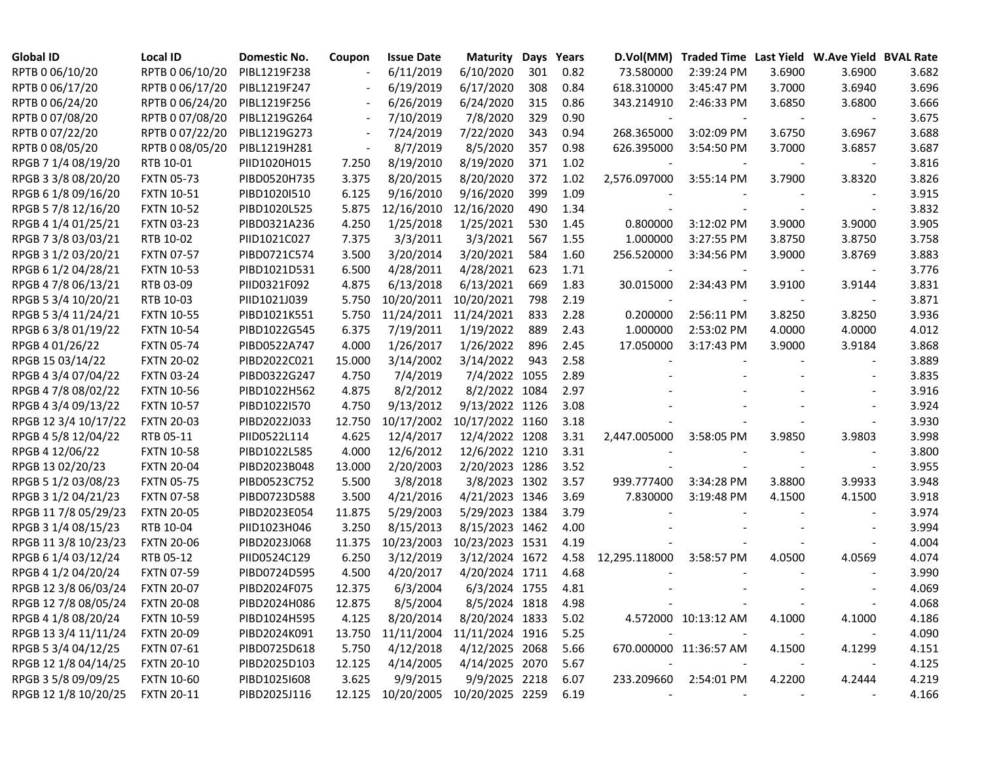| <b>Global ID</b>     | <b>Local ID</b>   | Domestic No. | Coupon | <b>Issue Date</b>                 | <b>Maturity Days</b> |     | Years |                          | D.Vol(MM) Traded Time Last Yield W.Ave Yield BVAL Rate |        |                          |       |
|----------------------|-------------------|--------------|--------|-----------------------------------|----------------------|-----|-------|--------------------------|--------------------------------------------------------|--------|--------------------------|-------|
| RPTB 0 06/10/20      | RPTB 0 06/10/20   | PIBL1219F238 |        | 6/11/2019                         | 6/10/2020            | 301 | 0.82  | 73.580000                | 2:39:24 PM                                             | 3.6900 | 3.6900                   | 3.682 |
| RPTB 0 06/17/20      | RPTB 0 06/17/20   | PIBL1219F247 |        | 6/19/2019                         | 6/17/2020            | 308 | 0.84  | 618.310000               | 3:45:47 PM                                             | 3.7000 | 3.6940                   | 3.696 |
| RPTB 0 06/24/20      | RPTB 0 06/24/20   | PIBL1219F256 |        | 6/26/2019                         | 6/24/2020            | 315 | 0.86  | 343.214910               | 2:46:33 PM                                             | 3.6850 | 3.6800                   | 3.666 |
| RPTB 0 07/08/20      | RPTB 0 07/08/20   | PIBL1219G264 |        | 7/10/2019                         | 7/8/2020             | 329 | 0.90  |                          |                                                        |        |                          | 3.675 |
| RPTB 0 07/22/20      | RPTB 0 07/22/20   | PIBL1219G273 |        | 7/24/2019                         | 7/22/2020            | 343 | 0.94  | 268.365000               | 3:02:09 PM                                             | 3.6750 | 3.6967                   | 3.688 |
| RPTB 0 08/05/20      | RPTB 0 08/05/20   | PIBL1219H281 |        | 8/7/2019                          | 8/5/2020             | 357 | 0.98  | 626.395000               | 3:54:50 PM                                             | 3.7000 | 3.6857                   | 3.687 |
| RPGB 7 1/4 08/19/20  | RTB 10-01         | PIID1020H015 | 7.250  | 8/19/2010                         | 8/19/2020            | 371 | 1.02  |                          |                                                        |        |                          | 3.816 |
| RPGB 3 3/8 08/20/20  | <b>FXTN 05-73</b> | PIBD0520H735 | 3.375  | 8/20/2015                         | 8/20/2020            | 372 | 1.02  | 2,576.097000             | 3:55:14 PM                                             | 3.7900 | 3.8320                   | 3.826 |
| RPGB 6 1/8 09/16/20  | <b>FXTN 10-51</b> | PIBD1020I510 | 6.125  | 9/16/2010                         | 9/16/2020            | 399 | 1.09  |                          |                                                        |        | $\overline{\phantom{a}}$ | 3.915 |
| RPGB 5 7/8 12/16/20  | <b>FXTN 10-52</b> | PIBD1020L525 | 5.875  | 12/16/2010                        | 12/16/2020           | 490 | 1.34  |                          |                                                        |        | $\overline{\phantom{a}}$ | 3.832 |
| RPGB 4 1/4 01/25/21  | <b>FXTN 03-23</b> | PIBD0321A236 | 4.250  | 1/25/2018                         | 1/25/2021            | 530 | 1.45  | 0.800000                 | 3:12:02 PM                                             | 3.9000 | 3.9000                   | 3.905 |
| RPGB 7 3/8 03/03/21  | RTB 10-02         | PIID1021C027 | 7.375  | 3/3/2011                          | 3/3/2021             | 567 | 1.55  | 1.000000                 | 3:27:55 PM                                             | 3.8750 | 3.8750                   | 3.758 |
| RPGB 3 1/2 03/20/21  | <b>FXTN 07-57</b> | PIBD0721C574 | 3.500  | 3/20/2014                         | 3/20/2021            | 584 | 1.60  | 256.520000               | 3:34:56 PM                                             | 3.9000 | 3.8769                   | 3.883 |
| RPGB 6 1/2 04/28/21  | <b>FXTN 10-53</b> | PIBD1021D531 | 6.500  | 4/28/2011                         | 4/28/2021            | 623 | 1.71  |                          |                                                        |        |                          | 3.776 |
| RPGB 4 7/8 06/13/21  | RTB 03-09         | PIID0321F092 | 4.875  | 6/13/2018                         | 6/13/2021            | 669 | 1.83  | 30.015000                | 2:34:43 PM                                             | 3.9100 | 3.9144                   | 3.831 |
| RPGB 5 3/4 10/20/21  | RTB 10-03         | PIID1021J039 | 5.750  | 10/20/2011                        | 10/20/2021           | 798 | 2.19  |                          |                                                        |        |                          | 3.871 |
| RPGB 5 3/4 11/24/21  | <b>FXTN 10-55</b> | PIBD1021K551 | 5.750  | 11/24/2011                        | 11/24/2021           | 833 | 2.28  | 0.200000                 | 2:56:11 PM                                             | 3.8250 | 3.8250                   | 3.936 |
| RPGB 63/8 01/19/22   | <b>FXTN 10-54</b> | PIBD1022G545 | 6.375  | 7/19/2011                         | 1/19/2022            | 889 | 2.43  | 1.000000                 | 2:53:02 PM                                             | 4.0000 | 4.0000                   | 4.012 |
| RPGB 4 01/26/22      | <b>FXTN 05-74</b> | PIBD0522A747 | 4.000  | 1/26/2017                         | 1/26/2022            | 896 | 2.45  | 17.050000                | 3:17:43 PM                                             | 3.9000 | 3.9184                   | 3.868 |
| RPGB 15 03/14/22     | <b>FXTN 20-02</b> | PIBD2022C021 | 15.000 | 3/14/2002                         | 3/14/2022            | 943 | 2.58  |                          |                                                        |        |                          | 3.889 |
| RPGB 4 3/4 07/04/22  | <b>FXTN 03-24</b> | PIBD0322G247 | 4.750  | 7/4/2019                          | 7/4/2022 1055        |     | 2.89  |                          |                                                        |        | $\blacksquare$           | 3.835 |
| RPGB 4 7/8 08/02/22  | <b>FXTN 10-56</b> | PIBD1022H562 | 4.875  | 8/2/2012                          | 8/2/2022 1084        |     | 2.97  |                          |                                                        |        |                          | 3.916 |
| RPGB 4 3/4 09/13/22  | <b>FXTN 10-57</b> | PIBD1022I570 | 4.750  | 9/13/2012                         | 9/13/2022 1126       |     | 3.08  |                          |                                                        |        |                          | 3.924 |
| RPGB 12 3/4 10/17/22 | <b>FXTN 20-03</b> | PIBD2022J033 | 12.750 | 10/17/2002                        | 10/17/2022 1160      |     | 3.18  |                          |                                                        |        |                          | 3.930 |
| RPGB 4 5/8 12/04/22  | RTB 05-11         | PIID0522L114 | 4.625  | 12/4/2017                         | 12/4/2022 1208       |     | 3.31  | 2,447.005000             | 3:58:05 PM                                             | 3.9850 | 3.9803                   | 3.998 |
| RPGB 4 12/06/22      | <b>FXTN 10-58</b> | PIBD1022L585 | 4.000  | 12/6/2012                         | 12/6/2022 1210       |     | 3.31  |                          |                                                        |        |                          | 3.800 |
| RPGB 13 02/20/23     | <b>FXTN 20-04</b> | PIBD2023B048 | 13.000 | 2/20/2003                         | 2/20/2023 1286       |     | 3.52  |                          |                                                        |        |                          | 3.955 |
| RPGB 5 1/2 03/08/23  | <b>FXTN 05-75</b> | PIBD0523C752 | 5.500  | 3/8/2018                          | 3/8/2023 1302        |     | 3.57  | 939.777400               | 3:34:28 PM                                             | 3.8800 | 3.9933                   | 3.948 |
| RPGB 3 1/2 04/21/23  | <b>FXTN 07-58</b> | PIBD0723D588 | 3.500  | 4/21/2016                         | 4/21/2023 1346       |     | 3.69  | 7.830000                 | 3:19:48 PM                                             | 4.1500 | 4.1500                   | 3.918 |
| RPGB 11 7/8 05/29/23 | <b>FXTN 20-05</b> | PIBD2023E054 | 11.875 | 5/29/2003                         | 5/29/2023 1384       |     | 3.79  |                          |                                                        |        |                          | 3.974 |
| RPGB 3 1/4 08/15/23  | RTB 10-04         | PIID1023H046 | 3.250  | 8/15/2013                         | 8/15/2023 1462       |     | 4.00  |                          |                                                        |        |                          | 3.994 |
| RPGB 11 3/8 10/23/23 | <b>FXTN 20-06</b> | PIBD2023J068 | 11.375 | 10/23/2003                        | 10/23/2023 1531      |     | 4.19  |                          |                                                        |        |                          | 4.004 |
| RPGB 6 1/4 03/12/24  | RTB 05-12         | PIID0524C129 | 6.250  | 3/12/2019                         | 3/12/2024 1672       |     | 4.58  | 12,295.118000            | 3:58:57 PM                                             | 4.0500 | 4.0569                   | 4.074 |
| RPGB 4 1/2 04/20/24  | <b>FXTN 07-59</b> | PIBD0724D595 | 4.500  | 4/20/2017                         | 4/20/2024 1711       |     | 4.68  |                          |                                                        |        |                          | 3.990 |
| RPGB 12 3/8 06/03/24 | <b>FXTN 20-07</b> | PIBD2024F075 | 12.375 | 6/3/2004                          | 6/3/2024 1755        |     | 4.81  |                          |                                                        |        |                          | 4.069 |
| RPGB 12 7/8 08/05/24 | <b>FXTN 20-08</b> | PIBD2024H086 | 12.875 | 8/5/2004                          | 8/5/2024 1818        |     | 4.98  |                          |                                                        |        |                          | 4.068 |
| RPGB 4 1/8 08/20/24  | <b>FXTN 10-59</b> | PIBD1024H595 | 4.125  | 8/20/2014                         | 8/20/2024 1833 5.02  |     |       |                          | 4.572000 10:13:12 AM                                   | 4.1000 | 4.1000                   | 4.186 |
| RPGB 13 3/4 11/11/24 | <b>FXTN 20-09</b> | PIBD2024K091 | 13.750 | 11/11/2004                        | 11/11/2024 1916      |     | 5.25  |                          |                                                        |        | $\overline{\phantom{a}}$ | 4.090 |
| RPGB 5 3/4 04/12/25  | <b>FXTN 07-61</b> | PIBD0725D618 | 5.750  | 4/12/2018                         | 4/12/2025 2068       |     | 5.66  |                          | 670.000000 11:36:57 AM                                 | 4.1500 | 4.1299                   | 4.151 |
| RPGB 12 1/8 04/14/25 | <b>FXTN 20-10</b> | PIBD2025D103 | 12.125 | 4/14/2005                         | 4/14/2025 2070       |     | 5.67  | $\overline{\phantom{a}}$ |                                                        |        |                          | 4.125 |
| RPGB 3 5/8 09/09/25  | <b>FXTN 10-60</b> | PIBD1025I608 | 3.625  | 9/9/2015                          | 9/9/2025 2218        |     | 6.07  |                          | 233.209660 2:54:01 PM                                  | 4.2200 | 4.2444                   | 4.219 |
| RPGB 12 1/8 10/20/25 | <b>FXTN 20-11</b> | PIBD2025J116 |        | 12.125 10/20/2005 10/20/2025 2259 |                      |     | 6.19  |                          |                                                        |        |                          | 4.166 |